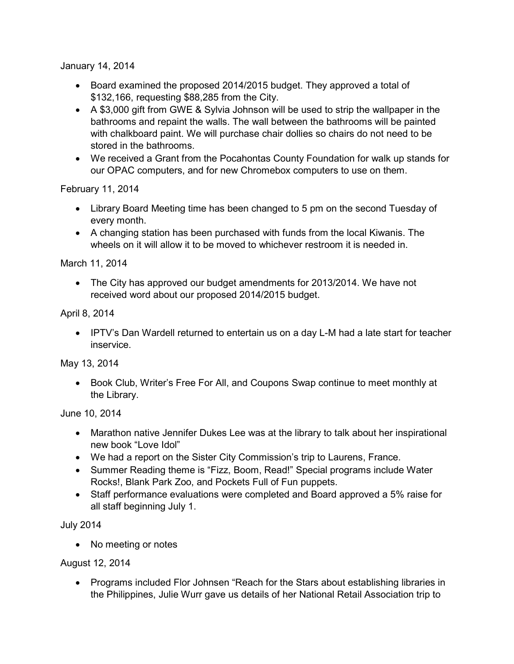January 14, 2014

- Board examined the proposed 2014/2015 budget. They approved a total of \$132,166, requesting \$88,285 from the City.
- A \$3,000 gift from GWE & Sylvia Johnson will be used to strip the wallpaper in the bathrooms and repaint the walls. The wall between the bathrooms will be painted with chalkboard paint. We will purchase chair dollies so chairs do not need to be stored in the bathrooms.
- We received a Grant from the Pocahontas County Foundation for walk up stands for our OPAC computers, and for new Chromebox computers to use on them.

February 11, 2014

- Library Board Meeting time has been changed to 5 pm on the second Tuesday of every month.
- A changing station has been purchased with funds from the local Kiwanis. The wheels on it will allow it to be moved to whichever restroom it is needed in.

March 11, 2014

 The City has approved our budget amendments for 2013/2014. We have not received word about our proposed 2014/2015 budget.

April 8, 2014

• IPTV's Dan Wardell returned to entertain us on a day L-M had a late start for teacher inservice.

May 13, 2014

 Book Club, Writer's Free For All, and Coupons Swap continue to meet monthly at the Library.

June 10, 2014

- Marathon native Jennifer Dukes Lee was at the library to talk about her inspirational new book "Love Idol"
- We had a report on the Sister City Commission's trip to Laurens, France.
- Summer Reading theme is "Fizz, Boom, Read!" Special programs include Water Rocks!, Blank Park Zoo, and Pockets Full of Fun puppets.
- Staff performance evaluations were completed and Board approved a 5% raise for all staff beginning July 1.

July 2014

• No meeting or notes

August 12, 2014

• Programs included Flor Johnsen "Reach for the Stars about establishing libraries in the Philippines, Julie Wurr gave us details of her National Retail Association trip to